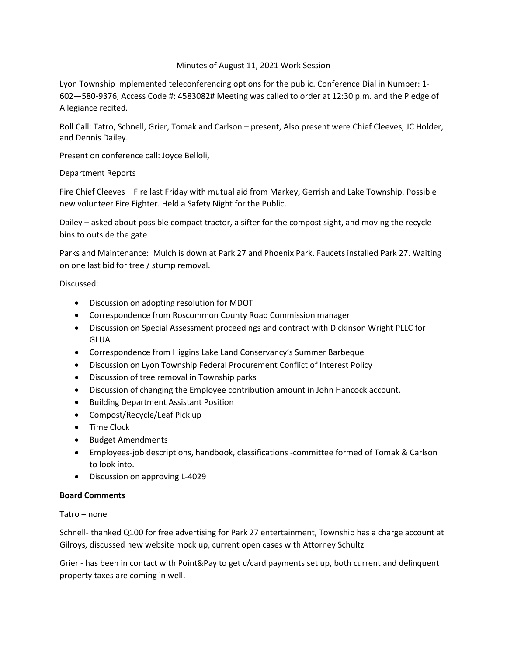# Minutes of August 11, 2021 Work Session

Lyon Township implemented teleconferencing options for the public. Conference Dial in Number: 1- 602—580-9376, Access Code #: 4583082# Meeting was called to order at 12:30 p.m. and the Pledge of Allegiance recited.

Roll Call: Tatro, Schnell, Grier, Tomak and Carlson – present, Also present were Chief Cleeves, JC Holder, and Dennis Dailey.

Present on conference call: Joyce Belloli,

# Department Reports

Fire Chief Cleeves – Fire last Friday with mutual aid from Markey, Gerrish and Lake Township. Possible new volunteer Fire Fighter. Held a Safety Night for the Public.

Dailey – asked about possible compact tractor, a sifter for the compost sight, and moving the recycle bins to outside the gate

Parks and Maintenance: Mulch is down at Park 27 and Phoenix Park. Faucets installed Park 27. Waiting on one last bid for tree / stump removal.

## Discussed:

- Discussion on adopting resolution for MDOT
- Correspondence from Roscommon County Road Commission manager
- Discussion on Special Assessment proceedings and contract with Dickinson Wright PLLC for GLUA
- Correspondence from Higgins Lake Land Conservancy's Summer Barbeque
- Discussion on Lyon Township Federal Procurement Conflict of Interest Policy
- Discussion of tree removal in Township parks
- Discussion of changing the Employee contribution amount in John Hancock account.
- Building Department Assistant Position
- Compost/Recycle/Leaf Pick up
- Time Clock
- Budget Amendments
- Employees-job descriptions, handbook, classifications -committee formed of Tomak & Carlson to look into.
- Discussion on approving L-4029

# **Board Comments**

Tatro – none

Schnell- thanked Q100 for free advertising for Park 27 entertainment, Township has a charge account at Gilroys, discussed new website mock up, current open cases with Attorney Schultz

Grier - has been in contact with Point&Pay to get c/card payments set up, both current and delinquent property taxes are coming in well.